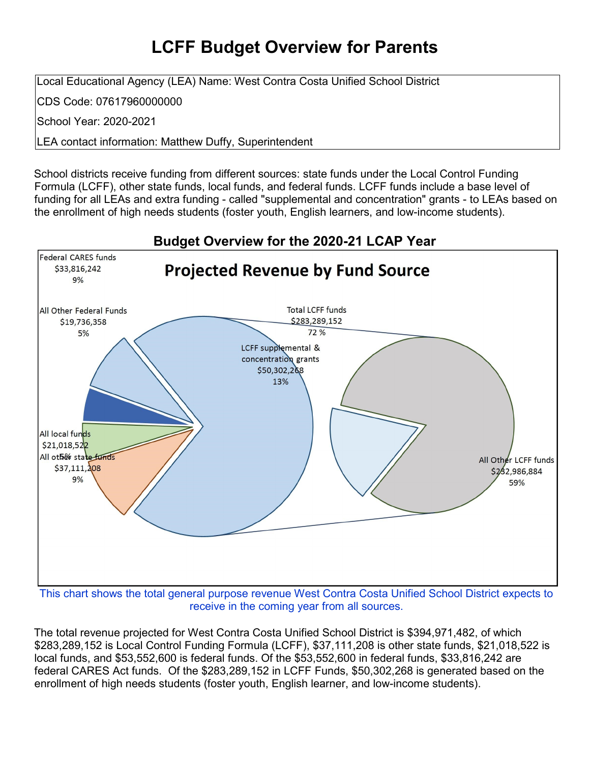## **LCFF Budget Overview for Parents**

Local Educational Agency (LEA) Name: West Contra Costa Unified School District

CDS Code: 07617960000000

School Year: 2020-2021

LEA contact information: Matthew Duffy, Superintendent

School districts receive funding from different sources: state funds under the Local Control Funding Formula (LCFF), other state funds, local funds, and federal funds. LCFF funds include a base level of funding for all LEAs and extra funding - called "supplemental and concentration" grants - to LEAs based on the enrollment of high needs students (foster youth, English learners, and low-income students).



This chart shows the total general purpose revenue West Contra Costa Unified School District expects to receive in the coming year from all sources.

The total revenue projected for West Contra Costa Unified School District is \$394,971,482, of which \$283,289,152 is Local Control Funding Formula (LCFF), \$37,111,208 is other state funds, \$21,018,522 is local funds, and \$53,552,600 is federal funds. Of the \$53,552,600 in federal funds, \$33,816,242 are federal CARES Act funds. Of the \$283,289,152 in LCFF Funds, \$50,302,268 is generated based on the enrollment of high needs students (foster youth, English learner, and low-income students).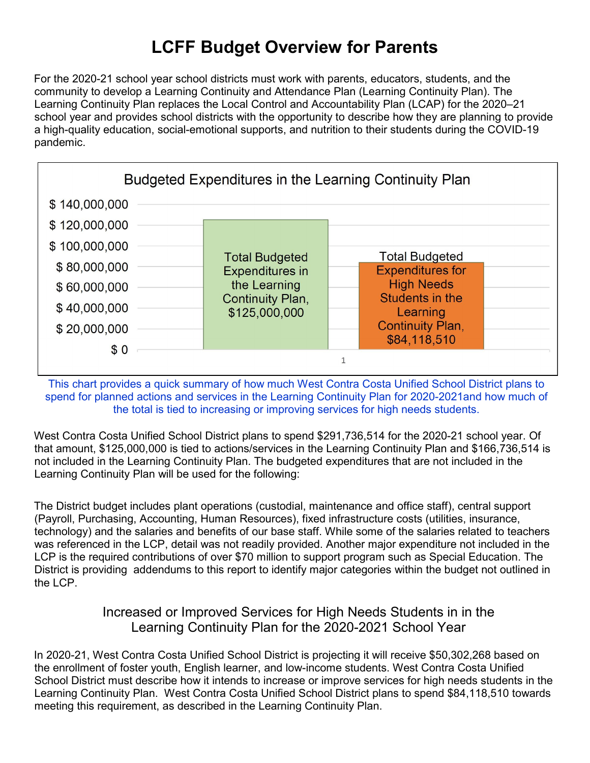# **LCFF Budget Overview for Parents**

For the 2020-21 school year school districts must work with parents, educators, students, and the community to develop a Learning Continuity and Attendance Plan (Learning Continuity Plan). The Learning Continuity Plan replaces the Local Control and Accountability Plan (LCAP) for the 2020–21 school year and provides school districts with the opportunity to describe how they are planning to provide a high-quality education, social-emotional supports, and nutrition to their students during the COVID-19 pandemic.



This chart provides a quick summary of how much West Contra Costa Unified School District plans to spend for planned actions and services in the Learning Continuity Plan for 2020-2021and how much of the total is tied to increasing or improving services for high needs students.

West Contra Costa Unified School District plans to spend \$291,736,514 for the 2020-21 school year. Of that amount, \$125,000,000 is tied to actions/services in the Learning Continuity Plan and \$166,736,514 is not included in the Learning Continuity Plan. The budgeted expenditures that are not included in the Learning Continuity Plan will be used for the following:

The District budget includes plant operations (custodial, maintenance and office staff), central support (Payroll, Purchasing, Accounting, Human Resources), fixed infrastructure costs (utilities, insurance, technology) and the salaries and benefits of our base staff. While some of the salaries related to teachers was referenced in the LCP, detail was not readily provided. Another major expenditure not included in the LCP is the required contributions of over \$70 million to support program such as Special Education. The District is providing addendums to this report to identify major categories within the budget not outlined in the LCP.

#### Increased or Improved Services for High Needs Students in in the Learning Continuity Plan for the 2020-2021 School Year

In 2020-21, West Contra Costa Unified School District is projecting it will receive \$50,302,268 based on the enrollment of foster youth, English learner, and low-income students. West Contra Costa Unified School District must describe how it intends to increase or improve services for high needs students in the Learning Continuity Plan. West Contra Costa Unified School District plans to spend \$84,118,510 towards meeting this requirement, as described in the Learning Continuity Plan.